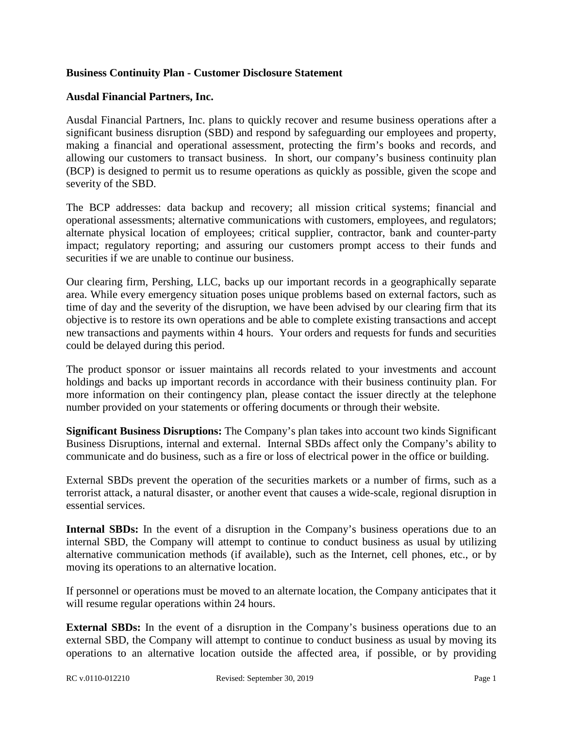## **Business Continuity Plan - Customer Disclosure Statement**

## **Ausdal Financial Partners, Inc.**

Ausdal Financial Partners, Inc. plans to quickly recover and resume business operations after a significant business disruption (SBD) and respond by safeguarding our employees and property, making a financial and operational assessment, protecting the firm's books and records, and allowing our customers to transact business. In short, our company's business continuity plan (BCP) is designed to permit us to resume operations as quickly as possible, given the scope and severity of the SBD.

The BCP addresses: data backup and recovery; all mission critical systems; financial and operational assessments; alternative communications with customers, employees, and regulators; alternate physical location of employees; critical supplier, contractor, bank and counter-party impact; regulatory reporting; and assuring our customers prompt access to their funds and securities if we are unable to continue our business.

Our clearing firm, Pershing, LLC, backs up our important records in a geographically separate area. While every emergency situation poses unique problems based on external factors, such as time of day and the severity of the disruption, we have been advised by our clearing firm that its objective is to restore its own operations and be able to complete existing transactions and accept new transactions and payments within 4 hours. Your orders and requests for funds and securities could be delayed during this period.

The product sponsor or issuer maintains all records related to your investments and account holdings and backs up important records in accordance with their business continuity plan. For more information on their contingency plan, please contact the issuer directly at the telephone number provided on your statements or offering documents or through their website.

**Significant Business Disruptions:** The Company's plan takes into account two kinds Significant Business Disruptions, internal and external. Internal SBDs affect only the Company's ability to communicate and do business, such as a fire or loss of electrical power in the office or building.

External SBDs prevent the operation of the securities markets or a number of firms, such as a terrorist attack, a natural disaster, or another event that causes a wide-scale, regional disruption in essential services.

**Internal SBDs:** In the event of a disruption in the Company's business operations due to an internal SBD, the Company will attempt to continue to conduct business as usual by utilizing alternative communication methods (if available), such as the Internet, cell phones, etc., or by moving its operations to an alternative location.

If personnel or operations must be moved to an alternate location, the Company anticipates that it will resume regular operations within 24 hours.

**External SBDs:** In the event of a disruption in the Company's business operations due to an external SBD, the Company will attempt to continue to conduct business as usual by moving its operations to an alternative location outside the affected area, if possible, or by providing